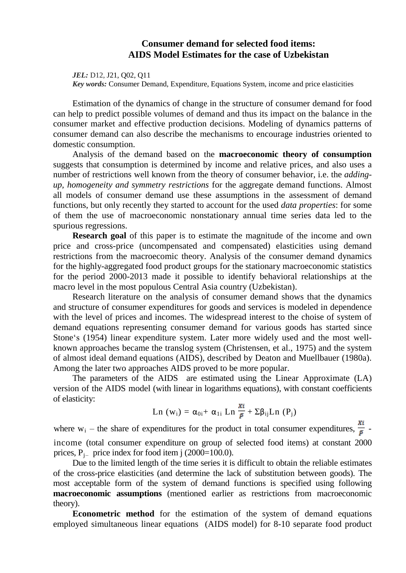## **Consumer demand for selected food items: AIDS Model Estimates for the case of Uzbekistan**

*JEL:* D12, J21, Q02, Q11 *Key words:* Consumer Demand, Expenditure, Equations System, income and price elasticities

Estimation of the dynamics of change in the structure of consumer demand for food can help to predict possible volumes of demand and thus its impact on the balance in the consumer market and effective production decisions. Modeling of dynamics patterns of consumer demand can also describe the mechanisms to encourage industries oriented to domestic consumption.

Analysis of the demand based on the **macroeconomic theory of consumption** suggests that consumption is determined by income and relative prices, and also uses a number of restrictions well known from the theory of consumer behavior, i.e. the *addingup, homogeneity and symmetry restrictions* for the aggregate demand functions. Almost all models of consumer demand use these assumptions in the assessment of demand functions, but only recently they started to account for the used *data properties*: for some of them the use of macroeconomic nonstationary annual time series data led to the spurious regressions.

**Research goal** of this paper is to estimate the magnitude of the income and own price and cross-price (uncompensated and compensated) elasticities using demand restrictions from the macroecomic theory. Analysis of the consumer demand dynamics for the highly-aggregated food product groups for the stationary macroeconomic statistics for the period 2000-2013 made it possible to identify behavioral relationships at the macro level in the most populous Central Asia country (Uzbekistan).

Research literature on the analysis of consumer demand shows that the dynamics and structure of consumer expenditures for goods and services is modeled in dependence with the level of prices and incomes. The widespread interest to the choise of system of demand equations representing consumer demand for various goods has started since Stone's (1954) linear expenditure system. Later more widely used and the most wellknown approaches became the translog system (Christensen, et al., 1975) and the system of almost ideal demand equations (AIDS), described by Deaton and Muellbauer (1980a). Among the later two approaches AIDS proved to be more popular.

The parameters of the AIDS are estimated using the Linear Approximate (LA) version of the AIDS model (with linear in logarithms equations), with constant coefficients of elasticity:

Ln (w<sub>i</sub>) = 
$$
\alpha_{0i}
$$
 +  $\alpha_{1i}$  Ln  $\frac{xi}{\bar{p}} + \Sigma \beta_{ij}$ Ln (P<sub>j</sub>)

where  $w_i$  – the share of expenditures for the product in total consumer expenditures,  $\frac{Xi}{\overline{B}}$ income (total consumer expenditure on group of selected food items) at constant 2000 prices,  $P_{i-}$  price index for food item j (2000=100.0).

Due to the limited length of the time series it is difficult to obtain the reliable estimates of the cross-price elasticities (and determine the lack of substitution between goods). The most acceptable form of the system of demand functions is specified using following **macroeconomic assumptions** (mentioned earlier as restrictions from macroeconomic theory).

**Econometric method** for the estimation of the system of demand equations employed simultaneous linear equations (AIDS model) for 8-10 separate food product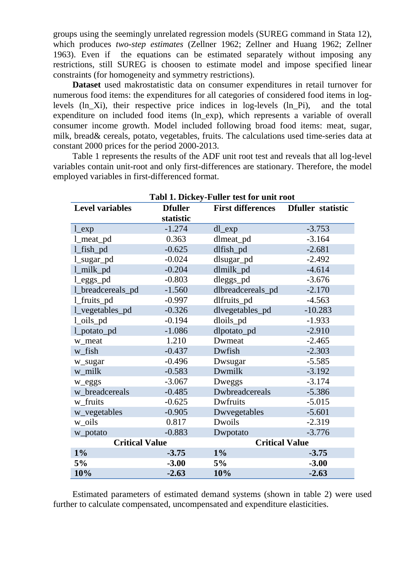groups using the seemingly unrelated regression models (SUREG command in Stata 12), which produces *two-step estimates* (Zellner 1962; Zellner and Huang 1962; Zellner 1963). Even if the equations can be estimated separately without imposing any restrictions, still SUREG is choosen to estimate model and impose specified linear constraints (for homogeneity and symmetry restrictions).

**Dataset** used makrostatistic data on consumer expenditures in retail turnover for numerous food items: the expenditures for all categories of considered food items in loglevels (ln\_Xi), their respective price indices in log-levels (ln\_Pi), and the total expenditure on included food items (ln\_exp), which represents a variable of overall consumer income growth. Model included following broad food items: meat, sugar, milk, bread& cereals, potato, vegetables, fruits. The calculations used time-series data at constant 2000 prices for the period 2000-2013.

Table 1 represents the results of the ADF unit root test and reveals that all log-level variables contain unit-root and only first-differences are stationary. Therefore, the model employed variables in first-differenced format.

| Tabl 1. Dickey-Fuller test for unit root |                |                          |                          |  |  |  |
|------------------------------------------|----------------|--------------------------|--------------------------|--|--|--|
| <b>Level variables</b>                   | <b>Dfuller</b> | <b>First differences</b> | <b>Dfuller</b> statistic |  |  |  |
|                                          | statistic      |                          |                          |  |  |  |
| $l$ <sub>exp</sub>                       | $-1.274$       | dl_exp                   | $-3.753$                 |  |  |  |
| 1_meat_pd                                | 0.363          | dlmeat_pd                | $-3.164$                 |  |  |  |
| 1_fish_pd                                | $-0.625$       | dlfish_pd                | $-2.681$                 |  |  |  |
| 1_sugar_pd                               | $-0.024$       | dlsugar_pd               | $-2.492$                 |  |  |  |
| 1_milk_pd                                | $-0.204$       | dlmilk_pd                | $-4.614$                 |  |  |  |
| l_eggs_pd                                | $-0.803$       | dleggs_pd                | $-3.676$                 |  |  |  |
| 1_breadcereals_pd                        | $-1.560$       | dlbreadcereals_pd        | $-2.170$                 |  |  |  |
| 1_fruits_pd                              | $-0.997$       | dlfruits_pd              | $-4.563$                 |  |  |  |
| l_vegetables_pd                          | $-0.326$       | dlvegetables_pd          | $-10.283$                |  |  |  |
| l_oils_pd                                | $-0.194$       | dloils_pd                | $-1.933$                 |  |  |  |
| l_potato_pd                              | $-1.086$       | dlpotato_pd              | $-2.910$                 |  |  |  |
| w meat                                   | 1.210          | Dwmeat                   | $-2.465$                 |  |  |  |
| w_fish                                   | $-0.437$       | Dwfish                   | $-2.303$                 |  |  |  |
| w_sugar                                  | $-0.496$       | Dwsugar                  | $-5.585$                 |  |  |  |
| w_milk                                   | $-0.583$       | Dwmilk                   | $-3.192$                 |  |  |  |
| w_eggs                                   | $-3.067$       | Dweggs                   | $-3.174$                 |  |  |  |
| w_breadcereals                           | $-0.485$       | Dwbreadcereals           | $-5.386$                 |  |  |  |
| w_fruits                                 | $-0.625$       | Dwfruits                 | $-5.015$                 |  |  |  |
| w_vegetables                             | $-0.905$       | Dwyegetables             | $-5.601$                 |  |  |  |
| w_oils                                   | 0.817          | Dwoils                   | $-2.319$                 |  |  |  |
| w_potato                                 | $-0.883$       | Dwpotato                 | $-3.776$                 |  |  |  |
| <b>Critical Value</b>                    |                | <b>Critical Value</b>    |                          |  |  |  |
| $1\%$                                    | $-3.75$        | $1\%$                    | $-3.75$                  |  |  |  |
| 5%                                       | $-3.00$        | 5%                       | $-3.00$                  |  |  |  |
| 10%                                      | $-2.63$        | 10%                      | $-2.63$                  |  |  |  |

Estimated parameters of estimated demand systems (shown in table 2) were used further to calculate compensated, uncompensated and expenditure elasticities.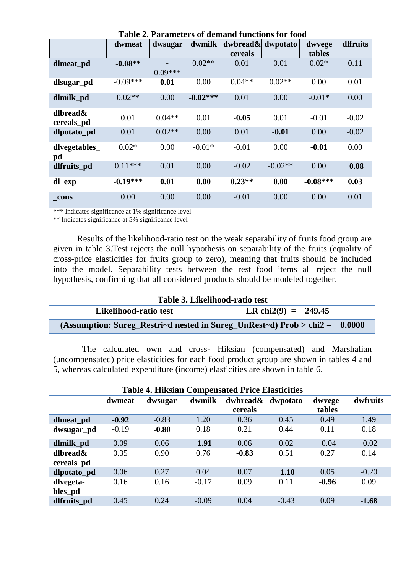| Table 2. Farameters of demand functions for food |            |           |            |                           |           |            |          |
|--------------------------------------------------|------------|-----------|------------|---------------------------|-----------|------------|----------|
|                                                  | dwmeat     | dwsugar   | dwmilk     | $ dw$ bread $\&$ dwpotato |           | dwyege     | dlfruits |
|                                                  |            |           |            | cereals                   |           | tables     |          |
| dlmeat_pd                                        | $-0.08**$  |           | $0.02**$   | 0.01                      | 0.01      | $0.02*$    | 0.11     |
|                                                  |            | $0.09***$ |            |                           |           |            |          |
| dlsugar_pd                                       | $-0.09***$ | 0.01      | 0.00       | $0.04**$                  | $0.02**$  | 0.00       | 0.01     |
| dlmilk_pd                                        | $0.02**$   | 0.00      | $-0.02***$ | 0.01                      | 0.00      | $-0.01*$   | 0.00     |
| dlbread &<br>cereals_pd                          | 0.01       | $0.04**$  | 0.01       | $-0.05$                   | 0.01      | $-0.01$    | $-0.02$  |
| dlpotato_pd                                      | 0.01       | $0.02**$  | 0.00       | 0.01                      | $-0.01$   | 0.00       | $-0.02$  |
| dlvegetables_<br>pd                              | $0.02*$    | 0.00      | $-0.01*$   | $-0.01$                   | 0.00      | $-0.01$    | 0.00     |
| dlfruits_pd                                      | $0.11***$  | 0.01      | 0.00       | $-0.02$                   | $-0.02**$ | 0.00       | $-0.08$  |
| dl_exp                                           | $-0.19***$ | 0.01      | 0.00       | $0.23**$                  | 0.00      | $-0.08***$ | 0.03     |
| cons                                             | 0.00       | 0.00      | 0.00       | $-0.01$                   | 0.00      | 0.00       | 0.01     |

**Table 2. Parameters of demand functions for food** 

\*\*\* Indicates significance at 1% significance level

\*\* Indicates significance at 5% significance level

Results of the likelihood-ratio test on the weak separability of fruits food group are given in table 3.Test rejects the null hypothesis on separability of the fruits (equality of cross-price elasticities for fruits group to zero), meaning that fruits should be included into the model. Separability tests between the rest food items all reject the null hypothesis, confirming that all considered products should be modeled together.

| Table 3. Likelihood-ratio test                                               |                       |  |  |  |  |  |
|------------------------------------------------------------------------------|-----------------------|--|--|--|--|--|
| Likelihood-ratio test                                                        | LR chi2(9) = $249.45$ |  |  |  |  |  |
| (Assumption: Sureg_Restri~d nested in Sureg_UnRest~d) $Prob > chi2 = 0.0000$ |                       |  |  |  |  |  |

The calculated own and cross- Hiksian (compensated) and Marshalian (uncompensated) price elasticities for each food product group are shown in tables 4 and 5, whereas calculated expenditure (income) elasticities are shown in table 6.

| <b>Table 4. Hiksian Compensated Price Elasticities</b> |         |         |         |                     |          |                   |          |
|--------------------------------------------------------|---------|---------|---------|---------------------|----------|-------------------|----------|
|                                                        | dwmeat  | dwsugar | dwmilk  | dwbread&<br>cereals | dwpotato | dwyege-<br>tables | dwfruits |
| dlmeat_pd                                              | $-0.92$ | $-0.83$ | 1.20    | 0.36                | 0.45     | 0.49              | 1.49     |
| dwsugar_pd                                             | $-0.19$ | $-0.80$ | 0.18    | 0.21                | 0.44     | 0.11              | 0.18     |
| dlmilk_pd                                              | 0.09    | 0.06    | $-1.91$ | 0.06                | 0.02     | $-0.04$           | $-0.02$  |
| dlbread&<br>cereals_pd                                 | 0.35    | 0.90    | 0.76    | $-0.83$             | 0.51     | 0.27              | 0.14     |
| dlpotato_pd                                            | 0.06    | 0.27    | 0.04    | 0.07                | $-1.10$  | 0.05              | $-0.20$  |
| dlvegeta-<br>bles_pd                                   | 0.16    | 0.16    | $-0.17$ | 0.09                | 0.11     | $-0.96$           | 0.09     |
| dlfruits_pd                                            | 0.45    | 0.24    | $-0.09$ | 0.04                | $-0.43$  | 0.09              | $-1.68$  |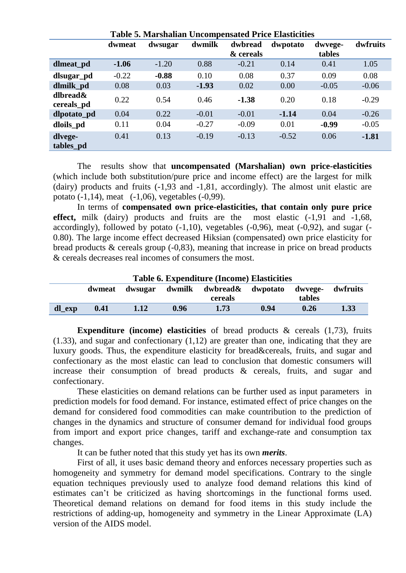| Table 3. Marshanan Uncompensated TTRC Elasticities |         |         |         |           |          |         |          |
|----------------------------------------------------|---------|---------|---------|-----------|----------|---------|----------|
|                                                    | dwmeat  | dwsugar | dwmilk  | dwbread   | dwpotato | dwvege- | dwfruits |
|                                                    |         |         |         | & cereals |          | tables  |          |
| dlmeat_pd                                          | $-1.06$ | $-1.20$ | 0.88    | $-0.21$   | 0.14     | 0.41    | 1.05     |
| dlsugar_pd                                         | $-0.22$ | $-0.88$ | 0.10    | 0.08      | 0.37     | 0.09    | 0.08     |
| dlmilk_pd                                          | 0.08    | 0.03    | $-1.93$ | 0.02      | 0.00     | $-0.05$ | $-0.06$  |
| dlbread&<br>cereals_pd                             | 0.22    | 0.54    | 0.46    | $-1.38$   | 0.20     | 0.18    | $-0.29$  |
| dlpotato_pd                                        | 0.04    | 0.22    | $-0.01$ | $-0.01$   | $-1.14$  | 0.04    | $-0.26$  |
| dloils_pd                                          | 0.11    | 0.04    | $-0.27$ | $-0.09$   | 0.01     | $-0.99$ | $-0.05$  |
| dlvege-<br>tables_pd                               | 0.41    | 0.13    | $-0.19$ | $-0.13$   | $-0.52$  | 0.06    | $-1.81$  |

**Table 5. Marshalian Uncompensated Price Elasticities**

The results show that **uncompensated (Marshalian) own price-elasticities** (which include both substitution/pure price and income effect) are the largest for milk (dairy) products and fruits (-1,93 and -1,81, accordingly). The almost unit elastic are potato (-1,14), meat (-1,06), vegetables (-0,99).

In terms of **compensated own price-elasticities, that contain only pure price effect,** milk (dairy) products and fruits are the most elastic (-1,91 and -1,68, accordingly), followed by potato (-1,10), vegetables (-0,96), meat (-0,92), and sugar (- 0.80). The large income effect decreased Hiksian (compensated) own price elasticity for bread products & cereals group (-0,83), meaning that increase in price on bread products & cereals decreases real incomes of consumers the most.

| <b>Table 6. Expenditure (Income) Elasticities</b> |        |      |      |                                          |      |        |          |  |
|---------------------------------------------------|--------|------|------|------------------------------------------|------|--------|----------|--|
|                                                   | dwmeat |      |      | dwsugar dwmilk dwbread& dwpotato dwvege- |      |        | dwfruits |  |
|                                                   |        |      |      | cereals                                  |      | tables |          |  |
| dl_exp                                            | 0.41   | 1.12 | 0.96 | 1.73                                     | 0.94 | 0.26   | 1.33     |  |

**Expenditure (income) elasticities** of bread products & cereals (1,73), fruits (1.33), and sugar and confectionary (1,12) are greater than one, indicating that they are luxury goods. Thus, the expenditure elasticity for bread&cereals, fruits, and sugar and confectionary as the most elastic can lead to conclusion that domestic consumers will increase their consumption of bread products & cereals, fruits, and sugar and confectionary.

These elasticities on demand relations can be further used as input parameters in prediction models for food demand. For instance, estimated effect of price changes on the demand for considered food commodities can make countribution to the prediction of changes in the dynamics and structure of consumer demand for individual food groups from import and export price changes, tariff and exchange-rate and consumption tax changes.

It can be futher noted that this study yet has its own *merits*.

First of all, it uses basic demand theory and enforces necessary properties such as homogeneity and symmetry for demand model specifications. Contrary to the single equation techniques previously used to analyze food demand relations this kind of estimates can't be criticized as having shortcomings in the functional forms used. Theoretical demand relations on demand for food items in this study include the restrictions of adding-up, homogeneity and symmetry in the Linear Approximate (LA) version of the AIDS model.